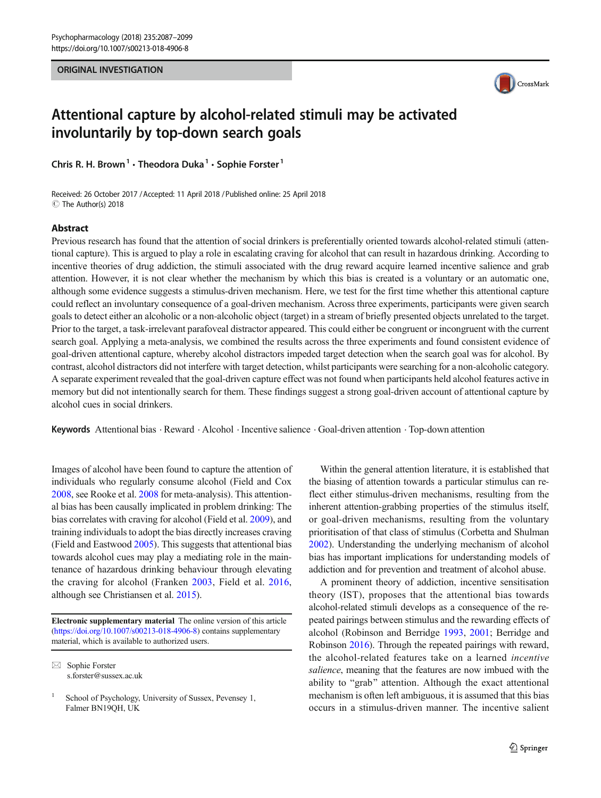#### ORIGINAL INVESTIGATION



# Attentional capture by alcohol-related stimuli may be activated involuntarily by top-down search goals

Chris R. H. Brown<sup>1</sup> · Theodora Duka<sup>1</sup> · Sophie Forster<sup>1</sup>

Received: 26 October 2017 /Accepted: 11 April 2018 /Published online: 25 April 2018  $\circledcirc$  The Author(s) 2018

#### Abstract

Previous research has found that the attention of social drinkers is preferentially oriented towards alcohol-related stimuli (attentional capture). This is argued to play a role in escalating craving for alcohol that can result in hazardous drinking. According to incentive theories of drug addiction, the stimuli associated with the drug reward acquire learned incentive salience and grab attention. However, it is not clear whether the mechanism by which this bias is created is a voluntary or an automatic one, although some evidence suggests a stimulus-driven mechanism. Here, we test for the first time whether this attentional capture could reflect an involuntary consequence of a goal-driven mechanism. Across three experiments, participants were given search goals to detect either an alcoholic or a non-alcoholic object (target) in a stream of briefly presented objects unrelated to the target. Prior to the target, a task-irrelevant parafoveal distractor appeared. This could either be congruent or incongruent with the current search goal. Applying a meta-analysis, we combined the results across the three experiments and found consistent evidence of goal-driven attentional capture, whereby alcohol distractors impeded target detection when the search goal was for alcohol. By contrast, alcohol distractors did not interfere with target detection, whilst participants were searching for a non-alcoholic category. A separate experiment revealed that the goal-driven capture effect was not found when participants held alcohol features active in memory but did not intentionally search for them. These findings suggest a strong goal-driven account of attentional capture by alcohol cues in social drinkers.

Keywords Attentional bias . Reward . Alcohol . Incentive salience . Goal-driven attention . Top-down attention

Images of alcohol have been found to capture the attention of individuals who regularly consume alcohol (Field and Cox [2008,](#page-11-0) see Rooke et al. [2008](#page-12-0) for meta-analysis). This attentional bias has been causally implicated in problem drinking: The bias correlates with craving for alcohol (Field et al. [2009](#page-11-0)), and training individuals to adopt the bias directly increases craving (Field and Eastwood [2005](#page-11-0)). This suggests that attentional bias towards alcohol cues may play a mediating role in the maintenance of hazardous drinking behaviour through elevating the craving for alcohol (Franken [2003,](#page-12-0) Field et al. [2016,](#page-11-0) although see Christiansen et al. [2015\)](#page-11-0).

Electronic supplementary material The online version of this article (<https://doi.org/10.1007/s00213-018-4906-8>) contains supplementary material, which is available to authorized users.

Within the general attention literature, it is established that the biasing of attention towards a particular stimulus can reflect either stimulus-driven mechanisms, resulting from the inherent attention-grabbing properties of the stimulus itself, or goal-driven mechanisms, resulting from the voluntary prioritisation of that class of stimulus (Corbetta and Shulman [2002\)](#page-11-0). Understanding the underlying mechanism of alcohol bias has important implications for understanding models of addiction and for prevention and treatment of alcohol abuse.

A prominent theory of addiction, incentive sensitisation theory (IST), proposes that the attentional bias towards alcohol-related stimuli develops as a consequence of the repeated pairings between stimulus and the rewarding effects of alcohol (Robinson and Berridge [1993](#page-12-0), [2001;](#page-12-0) Berridge and Robinson [2016\)](#page-11-0). Through the repeated pairings with reward, the alcohol-related features take on a learned incentive salience, meaning that the features are now imbued with the ability to "grab" attention. Although the exact attentional mechanism is often left ambiguous, it is assumed that this bias occurs in a stimulus-driven manner. The incentive salient

 $\boxtimes$  Sophie Forster [s.forster@sussex.ac.uk](mailto:s.forster@sussex.ac.uk)

<sup>&</sup>lt;sup>1</sup> School of Psychology, University of Sussex, Pevensey 1, Falmer BN19QH, UK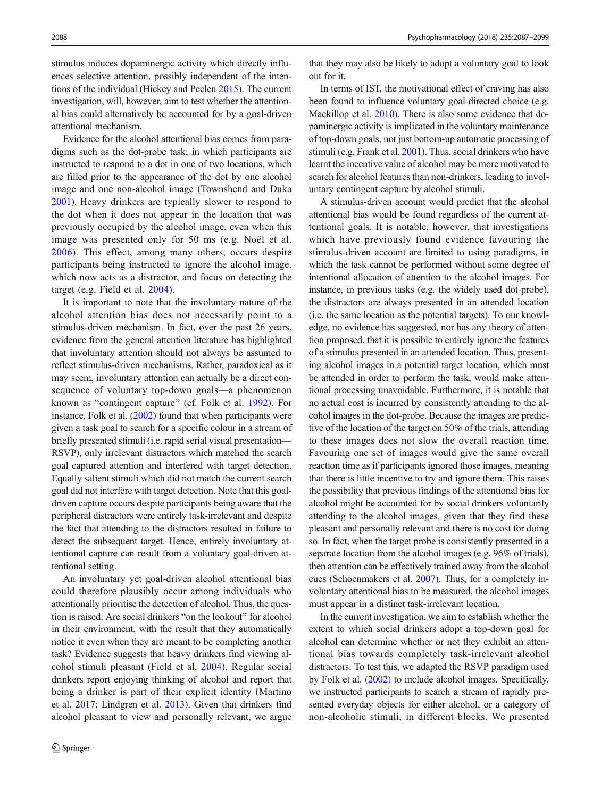stimulus induces dopaminergic activity which directly influences selective attention, possibly independent of the intentions of the individual (Hickey and Peelen [2015](#page-12-0)). The current investigation, will, however, aim to test whether the attentional bias could alternatively be accounted for by a goal-driven attentional mechanism.

Evidence for the alcohol attentional bias comes from paradigms such as the dot-probe task, in which participants are instructed to respond to a dot in one of two locations, which are filled prior to the appearance of the dot by one alcohol image and one non-alcohol image (Townshend and Duka [2001\)](#page-12-0). Heavy drinkers are typically slower to respond to the dot when it does not appear in the location that was previously occupied by the alcohol image, even when this image was presented only for 50 ms (e.g. Noël et al. [2006\)](#page-12-0). This effect, among many others, occurs despite participants being instructed to ignore the alcohol image, which now acts as a distractor, and focus on detecting the target (e.g. Field et al. [2004](#page-11-0)).

It is important to note that the involuntary nature of the alcohol attention bias does not necessarily point to a stimulus-driven mechanism. In fact, over the past 26 years, evidence from the general attention literature has highlighted that involuntary attention should not always be assumed to reflect stimulus-driven mechanisms. Rather, paradoxical as it may seem, involuntary attention can actually be a direct consequence of voluntary top-down goals—a phenomenon known as "contingent capture" (cf. Folk et al. [1992\)](#page-11-0). For instance, Folk et al. [\(2002\)](#page-11-0) found that when participants were given a task goal to search for a specific colour in a stream of briefly presented stimuli (i.e. rapid serial visual presentation— RSVP), only irrelevant distractors which matched the search goal captured attention and interfered with target detection. Equally salient stimuli which did not match the current search goal did not interfere with target detection. Note that this goaldriven capture occurs despite participants being aware that the peripheral distractors were entirely task-irrelevant and despite the fact that attending to the distractors resulted in failure to detect the subsequent target. Hence, entirely involuntary attentional capture can result from a voluntary goal-driven attentional setting.

An involuntary yet goal-driven alcohol attentional bias could therefore plausibly occur among individuals who attentionally prioritise the detection of alcohol. Thus, the question is raised: Are social drinkers "on the lookout" for alcohol in their environment, with the result that they automatically notice it even when they are meant to be completing another task? Evidence suggests that heavy drinkers find viewing alcohol stimuli pleasant (Field et al. [2004\)](#page-11-0). Regular social drinkers report enjoying thinking of alcohol and report that being a drinker is part of their explicit identity (Martino et al. [2017](#page-12-0); Lindgren et al. [2013](#page-12-0)). Given that drinkers find alcohol pleasant to view and personally relevant, we argue

that they may also be likely to adopt a voluntary goal to look out for it.

In terms of IST, the motivational effect of craving has also been found to influence voluntary goal-directed choice (e.g. Mackillop et al. [2010\)](#page-12-0). There is also some evidence that dopaminergic activity is implicated in the voluntary maintenance of top-down goals, not just bottom-up automatic processing of stimuli (e.g. Frank et al. [2001\)](#page-12-0). Thus, social drinkers who have learnt the incentive value of alcohol may be more motivated to search for alcohol features than non-drinkers, leading to involuntary contingent capture by alcohol stimuli.

A stimulus-driven account would predict that the alcohol attentional bias would be found regardless of the current attentional goals. It is notable, however, that investigations which have previously found evidence favouring the stimulus-driven account are limited to using paradigms, in which the task cannot be performed without some degree of intentional allocation of attention to the alcohol images. For instance, in previous tasks (e.g. the widely used dot-probe), the distractors are always presented in an attended location (i.e. the same location as the potential targets). To our knowledge, no evidence has suggested, nor has any theory of attention proposed, that it is possible to entirely ignore the features of a stimulus presented in an attended location. Thus, presenting alcohol images in a potential target location, which must be attended in order to perform the task, would make attentional processing unavoidable. Furthermore, it is notable that no actual cost is incurred by consistently attending to the alcohol images in the dot-probe. Because the images are predictive of the location of the target on 50% of the trials, attending to these images does not slow the overall reaction time. Favouring one set of images would give the same overall reaction time as if participants ignored those images, meaning that there is little incentive to try and ignore them. This raises the possibility that previous findings of the attentional bias for alcohol might be accounted for by social drinkers voluntarily attending to the alcohol images, given that they find these pleasant and personally relevant and there is no cost for doing so. In fact, when the target probe is consistently presented in a separate location from the alcohol images (e.g. 96% of trials), then attention can be effectively trained away from the alcohol cues (Schoenmakers et al. [2007\)](#page-12-0). Thus, for a completely involuntary attentional bias to be measured, the alcohol images must appear in a distinct task-irrelevant location.

In the current investigation, we aim to establish whether the extent to which social drinkers adopt a top-down goal for alcohol can determine whether or not they exhibit an attentional bias towards completely task-irrelevant alcohol distractors. To test this, we adapted the RSVP paradigm used by Folk et al. ([2002](#page-11-0)) to include alcohol images. Specifically, we instructed participants to search a stream of rapidly presented everyday objects for either alcohol, or a category of non-alcoholic stimuli, in different blocks. We presented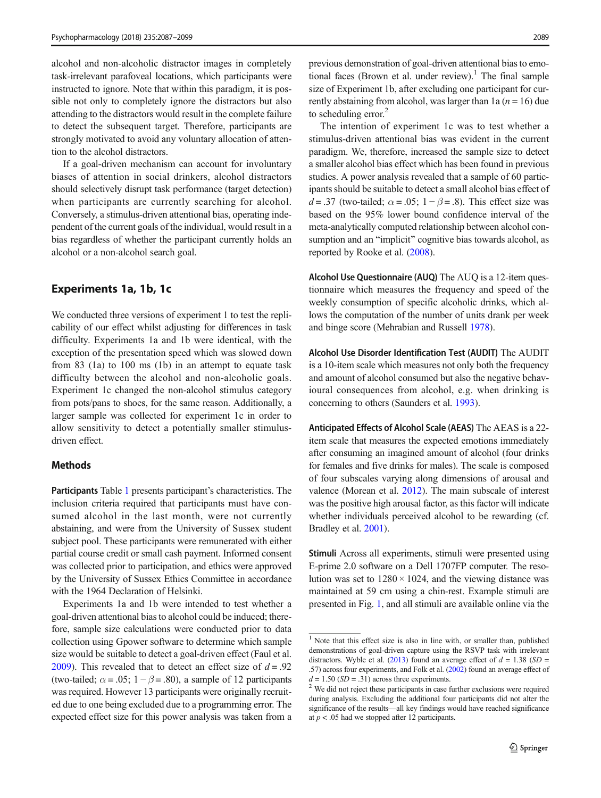alcohol and non-alcoholic distractor images in completely task-irrelevant parafoveal locations, which participants were instructed to ignore. Note that within this paradigm, it is possible not only to completely ignore the distractors but also attending to the distractors would result in the complete failure to detect the subsequent target. Therefore, participants are strongly motivated to avoid any voluntary allocation of attention to the alcohol distractors.

If a goal-driven mechanism can account for involuntary biases of attention in social drinkers, alcohol distractors should selectively disrupt task performance (target detection) when participants are currently searching for alcohol. Conversely, a stimulus-driven attentional bias, operating independent of the current goals of the individual, would result in a bias regardless of whether the participant currently holds an alcohol or a non-alcohol search goal.

### Experiments 1a, 1b, 1c

We conducted three versions of experiment 1 to test the replicability of our effect whilst adjusting for differences in task difficulty. Experiments 1a and 1b were identical, with the exception of the presentation speed which was slowed down from 83 (1a) to 100 ms (1b) in an attempt to equate task difficulty between the alcohol and non-alcoholic goals. Experiment 1c changed the non-alcohol stimulus category from pots/pans to shoes, for the same reason. Additionally, a larger sample was collected for experiment 1c in order to allow sensitivity to detect a potentially smaller stimulusdriven effect.

#### **Methods**

Participants Table [1](#page-3-0) presents participant's characteristics. The inclusion criteria required that participants must have consumed alcohol in the last month, were not currently abstaining, and were from the University of Sussex student subject pool. These participants were remunerated with either partial course credit or small cash payment. Informed consent was collected prior to participation, and ethics were approved by the University of Sussex Ethics Committee in accordance with the 1964 Declaration of Helsinki.

Experiments 1a and 1b were intended to test whether a goal-driven attentional bias to alcohol could be induced; therefore, sample size calculations were conducted prior to data collection using Gpower software to determine which sample size would be suitable to detect a goal-driven effect (Faul et al. [2009\)](#page-11-0). This revealed that to detect an effect size of  $d = .92$ (two-tailed;  $\alpha$  = .05; 1 –  $\beta$  = .80), a sample of 12 participants was required. However 13 participants were originally recruited due to one being excluded due to a programming error. The expected effect size for this power analysis was taken from a

previous demonstration of goal-driven attentional bias to emotional faces (Brown et al. under review).<sup>1</sup> The final sample size of Experiment 1b, after excluding one participant for currently abstaining from alcohol, was larger than 1a  $(n = 16)$  due to scheduling error. $<sup>2</sup>$ </sup>

The intention of experiment 1c was to test whether a stimulus-driven attentional bias was evident in the current paradigm. We, therefore, increased the sample size to detect a smaller alcohol bias effect which has been found in previous studies. A power analysis revealed that a sample of 60 participants should be suitable to detect a small alcohol bias effect of  $d = .37$  (two-tailed;  $\alpha = .05$ ; 1 –  $\beta = .8$ ). This effect size was based on the 95% lower bound confidence interval of the meta-analytically computed relationship between alcohol consumption and an "implicit" cognitive bias towards alcohol, as reported by Rooke et al. [\(2008\)](#page-12-0).

Alcohol Use Questionnaire (AUQ) The AUQ is a 12-item questionnaire which measures the frequency and speed of the weekly consumption of specific alcoholic drinks, which allows the computation of the number of units drank per week and binge score (Mehrabian and Russell [1978](#page-12-0)).

Alcohol Use Disorder Identification Test (AUDIT) The AUDIT is a 10-item scale which measures not only both the frequency and amount of alcohol consumed but also the negative behavioural consequences from alcohol, e.g. when drinking is concerning to others (Saunders et al. [1993\)](#page-12-0).

Anticipated Effects of Alcohol Scale (AEAS) The AEAS is a 22 item scale that measures the expected emotions immediately after consuming an imagined amount of alcohol (four drinks for females and five drinks for males). The scale is composed of four subscales varying along dimensions of arousal and valence (Morean et al. [2012](#page-12-0)). The main subscale of interest was the positive high arousal factor, as this factor will indicate whether individuals perceived alcohol to be rewarding (cf. Bradley et al. [2001\)](#page-11-0).

Stimuli Across all experiments, stimuli were presented using E-prime 2.0 software on a Dell 1707FP computer. The resolution was set to  $1280 \times 1024$ , and the viewing distance was maintained at 59 cm using a chin-rest. Example stimuli are presented in Fig. [1](#page-3-0), and all stimuli are available online via the

<sup>&</sup>lt;sup>1</sup> Note that this effect size is also in line with, or smaller than, published demonstrations of goal-driven capture using the RSVP task with irrelevant distractors. Wyble et al. ([2013](#page-12-0)) found an average effect of  $d = 1.38$  (SD = .57) across four experiments, and Folk et al. ([2002](#page-11-0)) found an average effect of

 $d = 1.50$  (SD = .31) across three experiments.<br><sup>2</sup> We did not reject these participants in case further exclusions were required during analysis. Excluding the additional four participants did not alter the significance of the results—all key findings would have reached significance at  $p < .05$  had we stopped after 12 participants.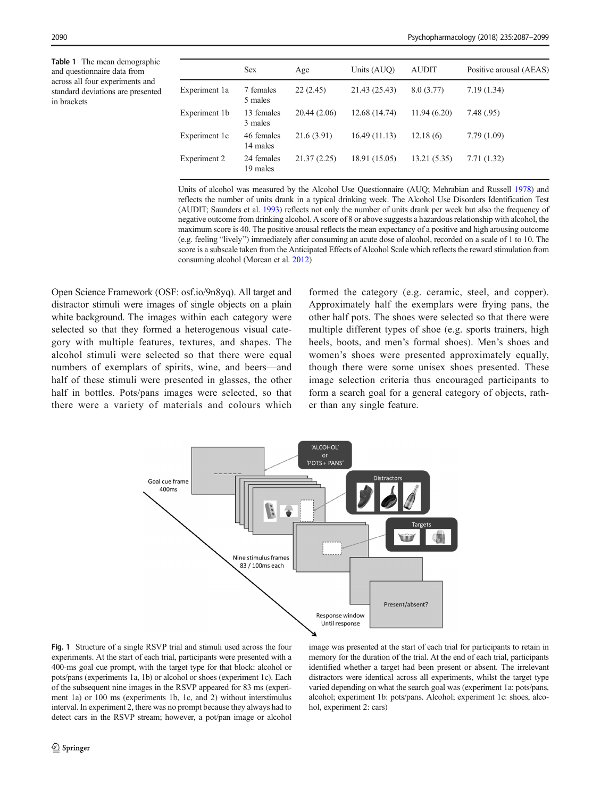<span id="page-3-0"></span>Table 1 The mean demographic and questionnaire data from across all four experiments and standard deviations are presented in brackets

|               | <b>Sex</b>             | Age          | Units (AUO)   | <b>AUDIT</b> | Positive arousal (AEAS) |
|---------------|------------------------|--------------|---------------|--------------|-------------------------|
| Experiment 1a | 7 females<br>5 males   | 22(2.45)     | 21.43 (25.43) | 8.0 (3.77)   | 7.19 (1.34)             |
| Experiment 1b | 13 females<br>3 males  | 20.44 (2.06) | 12.68 (14.74) | 11.94(6.20)  | 7.48(.95)               |
| Experiment 1c | 46 females<br>14 males | 21.6(3.91)   | 16.49(11.13)  | 12.18(6)     | 7.79 (1.09)             |
| Experiment 2  | 24 females<br>19 males | 21.37(2.25)  | 18.91 (15.05) | 13.21(5.35)  | 7.71 (1.32)             |

Units of alcohol was measured by the Alcohol Use Questionnaire (AUQ; Mehrabian and Russell [1978\)](#page-12-0) and reflects the number of units drank in a typical drinking week. The Alcohol Use Disorders Identification Test (AUDIT; Saunders et al. [1993](#page-12-0)) reflects not only the number of units drank per week but also the frequency of negative outcome from drinking alcohol. A score of 8 or above suggests a hazardous relationship with alcohol, the maximum score is 40. The positive arousal reflects the mean expectancy of a positive and high arousing outcome (e.g. feeling "lively") immediately after consuming an acute dose of alcohol, recorded on a scale of 1 to 10. The score is a subscale taken from the Anticipated Effects of Alcohol Scale which reflects the reward stimulation from consuming alcohol (Morean et al. [2012](#page-12-0))

Open Science Framework (OSF: osf.io/9n8yq). All target and distractor stimuli were images of single objects on a plain white background. The images within each category were selected so that they formed a heterogenous visual category with multiple features, textures, and shapes. The alcohol stimuli were selected so that there were equal numbers of exemplars of spirits, wine, and beers—and half of these stimuli were presented in glasses, the other half in bottles. Pots/pans images were selected, so that there were a variety of materials and colours which

formed the category (e.g. ceramic, steel, and copper). Approximately half the exemplars were frying pans, the other half pots. The shoes were selected so that there were multiple different types of shoe (e.g. sports trainers, high heels, boots, and men's formal shoes). Men's shoes and women's shoes were presented approximately equally, though there were some unisex shoes presented. These image selection criteria thus encouraged participants to form a search goal for a general category of objects, rather than any single feature.



Fig. 1 Structure of a single RSVP trial and stimuli used across the four experiments. At the start of each trial, participants were presented with a 400-ms goal cue prompt, with the target type for that block: alcohol or pots/pans (experiments 1a, 1b) or alcohol or shoes (experiment 1c). Each of the subsequent nine images in the RSVP appeared for 83 ms (experiment 1a) or 100 ms (experiments 1b, 1c, and 2) without interstimulus interval. In experiment 2, there was no prompt because they always had to detect cars in the RSVP stream; however, a pot/pan image or alcohol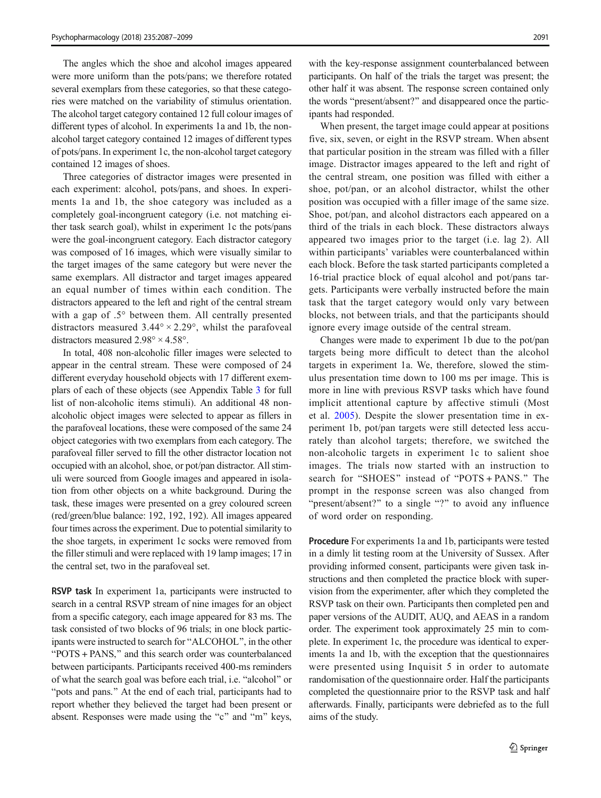The angles which the shoe and alcohol images appeared were more uniform than the pots/pans; we therefore rotated several exemplars from these categories, so that these categories were matched on the variability of stimulus orientation. The alcohol target category contained 12 full colour images of different types of alcohol. In experiments 1a and 1b, the nonalcohol target category contained 12 images of different types of pots/pans. In experiment 1c, the non-alcohol target category contained 12 images of shoes.

Three categories of distractor images were presented in each experiment: alcohol, pots/pans, and shoes. In experiments 1a and 1b, the shoe category was included as a completely goal-incongruent category (i.e. not matching either task search goal), whilst in experiment 1c the pots/pans were the goal-incongruent category. Each distractor category was composed of 16 images, which were visually similar to the target images of the same category but were never the same exemplars. All distractor and target images appeared an equal number of times within each condition. The distractors appeared to the left and right of the central stream with a gap of .5° between them. All centrally presented distractors measured  $3.44^{\circ} \times 2.29^{\circ}$ , whilst the parafoveal distractors measured  $2.98^{\circ} \times 4.58^{\circ}$ .

In total, 408 non-alcoholic filler images were selected to appear in the central stream. These were composed of 24 different everyday household objects with 17 different exemplars of each of these objects (see Appendix Table [3](#page-11-0) for full list of non-alcoholic items stimuli). An additional 48 nonalcoholic object images were selected to appear as fillers in the parafoveal locations, these were composed of the same 24 object categories with two exemplars from each category. The parafoveal filler served to fill the other distractor location not occupied with an alcohol, shoe, or pot/pan distractor. All stimuli were sourced from Google images and appeared in isolation from other objects on a white background. During the task, these images were presented on a grey coloured screen (red/green/blue balance: 192, 192, 192). All images appeared four times across the experiment. Due to potential similarity to the shoe targets, in experiment 1c socks were removed from the filler stimuli and were replaced with 19 lamp images; 17 in the central set, two in the parafoveal set.

RSVP task In experiment 1a, participants were instructed to search in a central RSVP stream of nine images for an object from a specific category, each image appeared for 83 ms. The task consisted of two blocks of 96 trials; in one block participants were instructed to search for "ALCOHOL", in the other "POTS + PANS," and this search order was counterbalanced between participants. Participants received 400-ms reminders of what the search goal was before each trial, i.e. "alcohol" or "pots and pans." At the end of each trial, participants had to report whether they believed the target had been present or absent. Responses were made using the "c" and "m" keys,

with the key-response assignment counterbalanced between participants. On half of the trials the target was present; the other half it was absent. The response screen contained only the words "present/absent?" and disappeared once the participants had responded.

When present, the target image could appear at positions five, six, seven, or eight in the RSVP stream. When absent that particular position in the stream was filled with a filler image. Distractor images appeared to the left and right of the central stream, one position was filled with either a shoe, pot/pan, or an alcohol distractor, whilst the other position was occupied with a filler image of the same size. Shoe, pot/pan, and alcohol distractors each appeared on a third of the trials in each block. These distractors always appeared two images prior to the target (i.e. lag 2). All within participants' variables were counterbalanced within each block. Before the task started participants completed a 16-trial practice block of equal alcohol and pot/pans targets. Participants were verbally instructed before the main task that the target category would only vary between blocks, not between trials, and that the participants should ignore every image outside of the central stream.

Changes were made to experiment 1b due to the pot/pan targets being more difficult to detect than the alcohol targets in experiment 1a. We, therefore, slowed the stimulus presentation time down to 100 ms per image. This is more in line with previous RSVP tasks which have found implicit attentional capture by affective stimuli (Most et al. [2005\)](#page-12-0). Despite the slower presentation time in experiment 1b, pot/pan targets were still detected less accurately than alcohol targets; therefore, we switched the non-alcoholic targets in experiment 1c to salient shoe images. The trials now started with an instruction to search for "SHOES" instead of "POTS + PANS." The prompt in the response screen was also changed from "present/absent?" to a single "?" to avoid any influence of word order on responding.

Procedure For experiments 1a and 1b, participants were tested in a dimly lit testing room at the University of Sussex. After providing informed consent, participants were given task instructions and then completed the practice block with supervision from the experimenter, after which they completed the RSVP task on their own. Participants then completed pen and paper versions of the AUDIT, AUQ, and AEAS in a random order. The experiment took approximately 25 min to complete. In experiment 1c, the procedure was identical to experiments 1a and 1b, with the exception that the questionnaires were presented using Inquisit 5 in order to automate randomisation of the questionnaire order. Half the participants completed the questionnaire prior to the RSVP task and half afterwards. Finally, participants were debriefed as to the full aims of the study.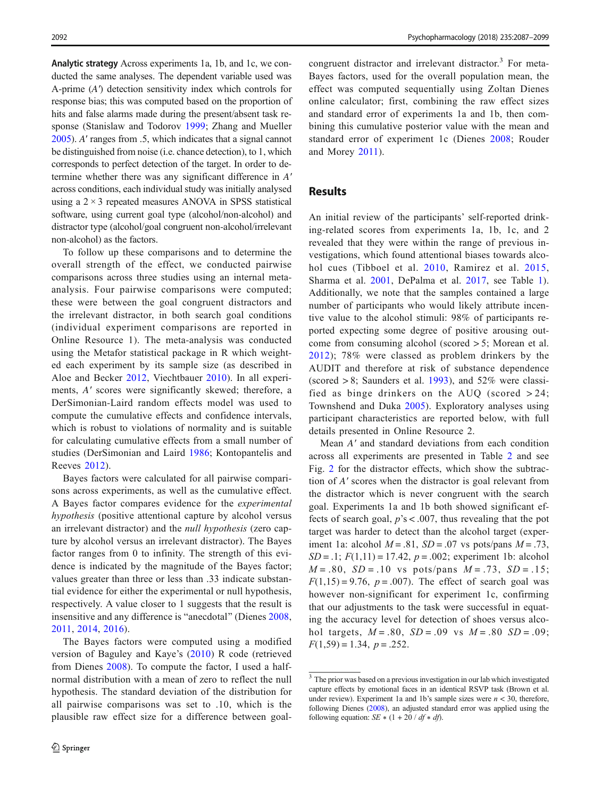Analytic strategy Across experiments 1a, 1b, and 1c, we conducted the same analyses. The dependent variable used was A-prime (A′) detection sensitivity index which controls for response bias; this was computed based on the proportion of hits and false alarms made during the present/absent task response (Stanislaw and Todorov [1999;](#page-12-0) Zhang and Mueller [2005\)](#page-12-0). A′ ranges from .5, which indicates that a signal cannot be distinguished from noise (i.e. chance detection), to 1, which corresponds to perfect detection of the target. In order to determine whether there was any significant difference in A′ across conditions, each individual study was initially analysed using a  $2 \times 3$  repeated measures ANOVA in SPSS statistical software, using current goal type (alcohol/non-alcohol) and distractor type (alcohol/goal congruent non-alcohol/irrelevant non-alcohol) as the factors.

To follow up these comparisons and to determine the overall strength of the effect, we conducted pairwise comparisons across three studies using an internal metaanalysis. Four pairwise comparisons were computed; these were between the goal congruent distractors and the irrelevant distractor, in both search goal conditions (individual experiment comparisons are reported in Online Resource 1). The meta-analysis was conducted using the Metafor statistical package in R which weighted each experiment by its sample size (as described in Aloe and Becker [2012,](#page-11-0) Viechtbauer [2010\)](#page-12-0). In all experiments, A′ scores were significantly skewed; therefore, a DerSimonian-Laird random effects model was used to compute the cumulative effects and confidence intervals, which is robust to violations of normality and is suitable for calculating cumulative effects from a small number of studies (DerSimonian and Laird [1986;](#page-11-0) Kontopantelis and Reeves [2012](#page-12-0)).

Bayes factors were calculated for all pairwise comparisons across experiments, as well as the cumulative effect. A Bayes factor compares evidence for the experimental hypothesis (positive attentional capture by alcohol versus an irrelevant distractor) and the null hypothesis (zero capture by alcohol versus an irrelevant distractor). The Bayes factor ranges from 0 to infinity. The strength of this evidence is indicated by the magnitude of the Bayes factor; values greater than three or less than .33 indicate substantial evidence for either the experimental or null hypothesis, respectively. A value closer to 1 suggests that the result is insensitive and any difference is "anecdotal" (Dienes [2008,](#page-11-0) [2011](#page-11-0), [2014](#page-11-0), [2016\)](#page-11-0).

The Bayes factors were computed using a modified version of Baguley and Kaye's ([2010](#page-11-0)) R code (retrieved from Dienes [2008](#page-11-0)). To compute the factor, I used a halfnormal distribution with a mean of zero to reflect the null hypothesis. The standard deviation of the distribution for all pairwise comparisons was set to .10, which is the plausible raw effect size for a difference between goalcongruent distractor and irrelevant distractor.<sup>3</sup> For meta-Bayes factors, used for the overall population mean, the effect was computed sequentially using Zoltan Dienes online calculator; first, combining the raw effect sizes and standard error of experiments 1a and 1b, then combining this cumulative posterior value with the mean and standard error of experiment 1c (Dienes [2008](#page-11-0); Rouder and Morey [2011](#page-12-0)).

# Results

An initial review of the participants' self-reported drinking-related scores from experiments 1a, 1b, 1c, and 2 revealed that they were within the range of previous investigations, which found attentional biases towards alcohol cues (Tibboel et al. [2010,](#page-12-0) Ramirez et al. [2015,](#page-12-0) Sharma et al. [2001,](#page-12-0) DePalma et al. [2017](#page-11-0), see Table [1](#page-3-0)). Additionally, we note that the samples contained a large number of participants who would likely attribute incentive value to the alcohol stimuli: 98% of participants reported expecting some degree of positive arousing outcome from consuming alcohol (scored > 5; Morean et al. [2012](#page-12-0)); 78% were classed as problem drinkers by the AUDIT and therefore at risk of substance dependence (scored  $> 8$ ; Saunders et al. [1993\)](#page-12-0), and 52% were classified as binge drinkers on the AUQ (scored > 24; Townshend and Duka [2005\)](#page-12-0). Exploratory analyses using participant characteristics are reported below, with full details presented in Online Resource 2.

Mean A′ and standard deviations from each condition across all experiments are presented in Table [2](#page-6-0) and see Fig. [2](#page-6-0) for the distractor effects, which show the subtraction of A′ scores when the distractor is goal relevant from the distractor which is never congruent with the search goal. Experiments 1a and 1b both showed significant effects of search goal,  $p$ 's < .007, thus revealing that the pot target was harder to detect than the alcohol target (experiment 1a: alcohol  $M = .81$ ,  $SD = .07$  vs pots/pans  $M = .73$ ,  $SD = .1$ ;  $F(1,11) = 17.42$ ,  $p = .002$ ; experiment 1b: alcohol  $M = .80$ ,  $SD = .10$  vs pots/pans  $M = .73$ ,  $SD = .15$ ;  $F(1,15) = 9.76$ ,  $p = .007$ ). The effect of search goal was however non-significant for experiment 1c, confirming that our adjustments to the task were successful in equating the accuracy level for detection of shoes versus alcohol targets,  $M = .80$ ,  $SD = .09$  vs  $M = .80$   $SD = .09$ ;  $F(1,59) = 1.34, p = .252.$ 

<sup>&</sup>lt;sup>3</sup> The prior was based on a previous investigation in our lab which investigated capture effects by emotional faces in an identical RSVP task (Brown et al. under review). Experiment 1a and 1b's sample sizes were  $n < 30$ , therefore, following Dienes ([2008](#page-11-0)), an adjusted standard error was applied using the following equation:  $SE * (1 + 20 / df * df)$ .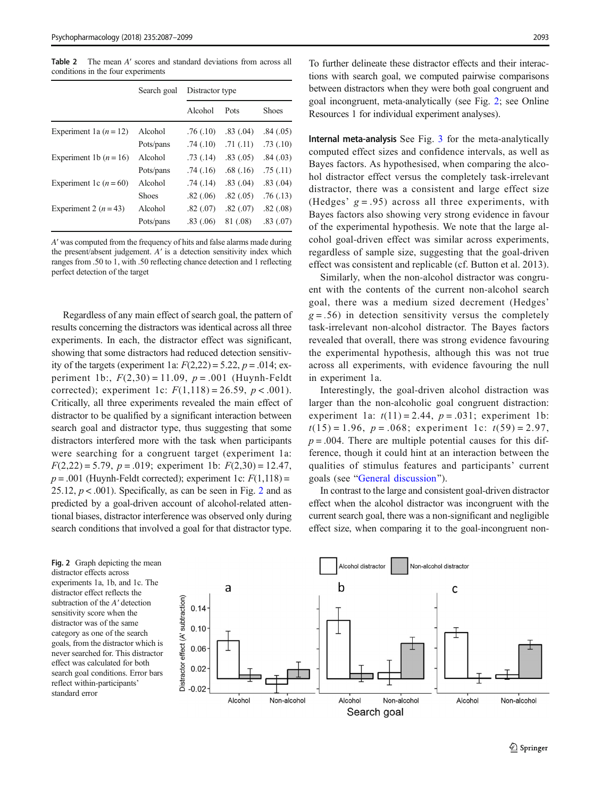<span id="page-6-0"></span>Table 2 The mean A' scores and standard deviations from across all conditions in the four experiments

|                          | Search goal  | Distractor type |           |              |
|--------------------------|--------------|-----------------|-----------|--------------|
|                          |              | Alcohol         | Pots      | <b>Shoes</b> |
| Experiment 1a $(n = 12)$ | Alcohol      | .76(.10)        | .83(0.04) | .84(0.05)    |
|                          | Pots/pans    | .74(.10)        | .71(.11)  | .73(.10)     |
| Experiment 1b $(n = 16)$ | Alcohol      | .73(.14)        | .83(.05)  | .84(0.03)    |
|                          | Pots/pans    | .74(.16)        | .68(.16)  | .75(0.11)    |
| Experiment 1c $(n = 60)$ | Alcohol      | .74(.14)        | .83(.04)  | .83(.04)     |
|                          | <b>Shoes</b> | .82(.06)        | .82(.05)  | .76(0.13)    |
| Experiment 2 $(n = 43)$  | Alcohol      | .82(.07)        | .82(.07)  | .82(.08)     |
|                          | Pots/pans    | .83(.06)        | 81 (.08)  | .83(.07)     |

A′ was computed from the frequency of hits and false alarms made during the present/absent judgement. A′ is a detection sensitivity index which ranges from .50 to 1, with .50 reflecting chance detection and 1 reflecting perfect detection of the target

Regardless of any main effect of search goal, the pattern of results concerning the distractors was identical across all three experiments. In each, the distractor effect was significant, showing that some distractors had reduced detection sensitivity of the targets (experiment 1a:  $F(2,22) = 5.22$ ,  $p = .014$ ; experiment 1b:,  $F(2,30) = 11.09$ ,  $p = .001$  (Huynh-Feldt corrected); experiment 1c:  $F(1,118) = 26.59$ ,  $p < .001$ ). Critically, all three experiments revealed the main effect of distractor to be qualified by a significant interaction between search goal and distractor type, thus suggesting that some distractors interfered more with the task when participants were searching for a congruent target (experiment 1a:  $F(2,22) = 5.79$ ,  $p = .019$ ; experiment 1b:  $F(2,30) = 12.47$ ,  $p = .001$  (Huynh-Feldt corrected); experiment 1c:  $F(1,118) =$ 25.12,  $p < .001$ ). Specifically, as can be seen in Fig. 2 and as predicted by a goal-driven account of alcohol-related attentional biases, distractor interference was observed only during search conditions that involved a goal for that distractor type.

To further delineate these distractor effects and their interactions with search goal, we computed pairwise comparisons between distractors when they were both goal congruent and goal incongruent, meta-analytically (see Fig. 2; see Online Resources 1 for individual experiment analyses).

Internal meta-analysis See Fig. [3](#page-7-0) for the meta-analytically computed effect sizes and confidence intervals, as well as Bayes factors. As hypothesised, when comparing the alcohol distractor effect versus the completely task-irrelevant distractor, there was a consistent and large effect size (Hedges'  $g = .95$ ) across all three experiments, with Bayes factors also showing very strong evidence in favour of the experimental hypothesis. We note that the large alcohol goal-driven effect was similar across experiments, regardless of sample size, suggesting that the goal-driven effect was consistent and replicable (cf. Button et al. 2013).

Similarly, when the non-alcohol distractor was congruent with the contents of the current non-alcohol search goal, there was a medium sized decrement (Hedges'  $g = .56$ ) in detection sensitivity versus the completely task-irrelevant non-alcohol distractor. The Bayes factors revealed that overall, there was strong evidence favouring the experimental hypothesis, although this was not true across all experiments, with evidence favouring the null in experiment 1a.

Interestingly, the goal-driven alcohol distraction was larger than the non-alcoholic goal congruent distraction: experiment 1a:  $t(11) = 2.44$ ,  $p = .031$ ; experiment 1b:  $t(15) = 1.96$ ,  $p = .068$ ; experiment 1c:  $t(59) = 2.97$ ,  $p = 0.004$ . There are multiple potential causes for this difference, though it could hint at an interaction between the qualities of stimulus features and participants' current goals (see "[General discussion](#page-9-0)").

In contrast to the large and consistent goal-driven distractor effect when the alcohol distractor was incongruent with the current search goal, there was a non-significant and negligible effect size, when comparing it to the goal-incongruent non-

Fig. 2 Graph depicting the mean distractor effects across experiments 1a, 1b, and 1c. The distractor effect reflects the subtraction of the A′ detection sensitivity score when the distractor was of the same category as one of the search goals, from the distractor which is never searched for. This distractor effect was calculated for both search goal conditions. Error bars reflect within-participants' standard error

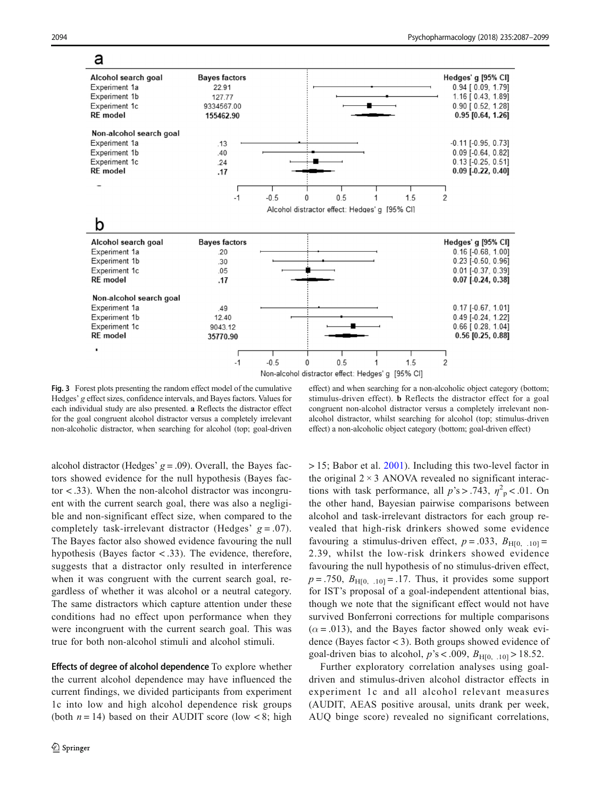<span id="page-7-0"></span>



Fig. 3 Forest plots presenting the random effect model of the cumulative Hedges' g effect sizes, confidence intervals, and Bayes factors. Values for each individual study are also presented. a Reflects the distractor effect for the goal congruent alcohol distractor versus a completely irrelevant non-alcoholic distractor, when searching for alcohol (top; goal-driven

effect) and when searching for a non-alcoholic object category (bottom; stimulus-driven effect). b Reflects the distractor effect for a goal congruent non-alcohol distractor versus a completely irrelevant nonalcohol distractor, whilst searching for alcohol (top; stimulus-driven effect) a non-alcoholic object category (bottom; goal-driven effect)

alcohol distractor (Hedges'  $g = .09$ ). Overall, the Bayes factors showed evidence for the null hypothesis (Bayes factor < .33). When the non-alcohol distractor was incongruent with the current search goal, there was also a negligible and non-significant effect size, when compared to the completely task-irrelevant distractor (Hedges'  $g = .07$ ). The Bayes factor also showed evidence favouring the null hypothesis (Bayes factor < .33). The evidence, therefore, suggests that a distractor only resulted in interference when it was congruent with the current search goal, regardless of whether it was alcohol or a neutral category. The same distractors which capture attention under these conditions had no effect upon performance when they were incongruent with the current search goal. This was true for both non-alcohol stimuli and alcohol stimuli.

Effects of degree of alcohol dependence To explore whether the current alcohol dependence may have influenced the current findings, we divided participants from experiment 1c into low and high alcohol dependence risk groups (both  $n = 14$ ) based on their AUDIT score (low < 8; high > 15; Babor et al. [2001\)](#page-11-0). Including this two-level factor in the original  $2 \times 3$  ANOVA revealed no significant interactions with task performance, all  $p's > .743$ ,  $\eta_p^2 < .01$ . On the other hand, Bayesian pairwise comparisons between alcohol and task-irrelevant distractors for each group revealed that high-risk drinkers showed some evidence favouring a stimulus-driven effect,  $p = .033$ ,  $B_{\text{H10}}$ ,  $_{.101} =$ 2.39, whilst the low-risk drinkers showed evidence favouring the null hypothesis of no stimulus-driven effect,  $p = .750$ ,  $B_{\text{H[0, .10]}} = .17$ . Thus, it provides some support for IST's proposal of a goal-independent attentional bias, though we note that the significant effect would not have survived Bonferroni corrections for multiple comparisons  $(\alpha = .013)$ , and the Bayes factor showed only weak evidence (Bayes factor < 3). Both groups showed evidence of goal-driven bias to alcohol,  $p's < .009$ ,  $B_{\text{H[0, .10]}} > 18.52$ .

Further exploratory correlation analyses using goaldriven and stimulus-driven alcohol distractor effects in experiment 1c and all alcohol relevant measures (AUDIT, AEAS positive arousal, units drank per week, AUQ binge score) revealed no significant correlations,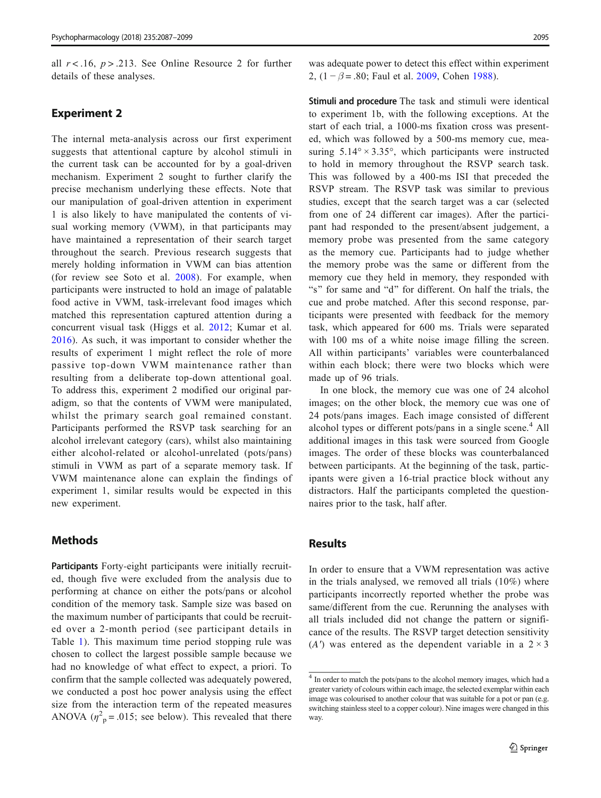all  $r < 0.16$ ,  $p > 0.213$ . See Online Resource 2 for further details of these analyses.

### Experiment 2

The internal meta-analysis across our first experiment suggests that attentional capture by alcohol stimuli in the current task can be accounted for by a goal-driven mechanism. Experiment 2 sought to further clarify the precise mechanism underlying these effects. Note that our manipulation of goal-driven attention in experiment 1 is also likely to have manipulated the contents of visual working memory (VWM), in that participants may have maintained a representation of their search target throughout the search. Previous research suggests that merely holding information in VWM can bias attention (for review see Soto et al. [2008](#page-12-0)). For example, when participants were instructed to hold an image of palatable food active in VWM, task-irrelevant food images which matched this representation captured attention during a concurrent visual task (Higgs et al. [2012;](#page-12-0) Kumar et al. [2016](#page-12-0)). As such, it was important to consider whether the results of experiment 1 might reflect the role of more passive top-down VWM maintenance rather than resulting from a deliberate top-down attentional goal. To address this, experiment 2 modified our original paradigm, so that the contents of VWM were manipulated, whilst the primary search goal remained constant. Participants performed the RSVP task searching for an alcohol irrelevant category (cars), whilst also maintaining either alcohol-related or alcohol-unrelated (pots/pans) stimuli in VWM as part of a separate memory task. If VWM maintenance alone can explain the findings of experiment 1, similar results would be expected in this new experiment.

# Methods

Participants Forty-eight participants were initially recruited, though five were excluded from the analysis due to performing at chance on either the pots/pans or alcohol condition of the memory task. Sample size was based on the maximum number of participants that could be recruited over a 2-month period (see participant details in Table [1](#page-3-0)). This maximum time period stopping rule was chosen to collect the largest possible sample because we had no knowledge of what effect to expect, a priori. To confirm that the sample collected was adequately powered, we conducted a post hoc power analysis using the effect size from the interaction term of the repeated measures ANOVA ( $\eta^2$ <sub>p</sub> = .015; see below). This revealed that there

was adequate power to detect this effect within experiment 2,  $(1 - \beta = .80;$  Faul et al. [2009](#page-11-0), Cohen [1988\)](#page-11-0).

Stimuli and procedure The task and stimuli were identical to experiment 1b, with the following exceptions. At the start of each trial, a 1000-ms fixation cross was presented, which was followed by a 500-ms memory cue, measuring  $5.14^{\circ} \times 3.35^{\circ}$ , which participants were instructed to hold in memory throughout the RSVP search task. This was followed by a 400-ms ISI that preceded the RSVP stream. The RSVP task was similar to previous studies, except that the search target was a car (selected from one of 24 different car images). After the participant had responded to the present/absent judgement, a memory probe was presented from the same category as the memory cue. Participants had to judge whether the memory probe was the same or different from the memory cue they held in memory, they responded with "s" for same and "d" for different. On half the trials, the cue and probe matched. After this second response, participants were presented with feedback for the memory task, which appeared for 600 ms. Trials were separated with 100 ms of a white noise image filling the screen. All within participants' variables were counterbalanced within each block; there were two blocks which were made up of 96 trials.

In one block, the memory cue was one of 24 alcohol images; on the other block, the memory cue was one of 24 pots/pans images. Each image consisted of different alcohol types or different pots/pans in a single scene.<sup>4</sup> All additional images in this task were sourced from Google images. The order of these blocks was counterbalanced between participants. At the beginning of the task, participants were given a 16-trial practice block without any distractors. Half the participants completed the questionnaires prior to the task, half after.

## Results

In order to ensure that a VWM representation was active in the trials analysed, we removed all trials (10%) where participants incorrectly reported whether the probe was same/different from the cue. Rerunning the analyses with all trials included did not change the pattern or significance of the results. The RSVP target detection sensitivity (A') was entered as the dependent variable in a  $2 \times 3$ 

<sup>4</sup> In order to match the pots/pans to the alcohol memory images, which had a greater variety of colours within each image, the selected exemplar within each image was colourised to another colour that was suitable for a pot or pan (e.g. switching stainless steel to a copper colour). Nine images were changed in this way.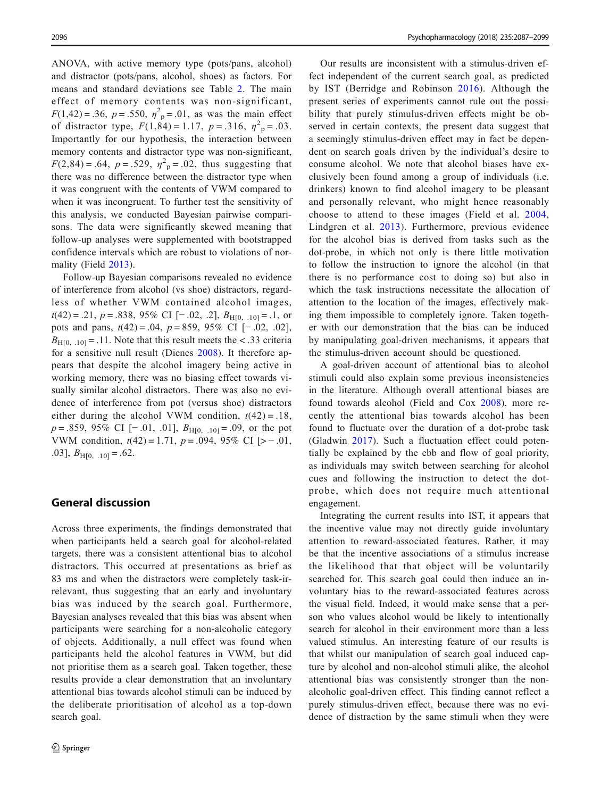<span id="page-9-0"></span>ANOVA, with active memory type (pots/pans, alcohol) and distractor (pots/pans, alcohol, shoes) as factors. For means and standard deviations see Table [2](#page-6-0). The main effect of memory contents was non-significant,  $F(1,42) = .36$ ,  $p = .550$ ,  $\eta^2$ <sub>p</sub> = .01, as was the main effect of distractor type,  $F(1,84) = 1.17$ ,  $p = .316$ ,  $\eta^2$ <sub>p</sub> = .03. Importantly for our hypothesis, the interaction between memory contents and distractor type was non-significant,  $F(2,84) = .64$ ,  $p = .529$ ,  $\eta^2$ <sub>p</sub> = .02, thus suggesting that there was no difference between the distractor type when it was congruent with the contents of VWM compared to when it was incongruent. To further test the sensitivity of this analysis, we conducted Bayesian pairwise comparisons. The data were significantly skewed meaning that follow-up analyses were supplemented with bootstrapped confidence intervals which are robust to violations of normality (Field [2013](#page-11-0)).

Follow-up Bayesian comparisons revealed no evidence of interference from alcohol (vs shoe) distractors, regardless of whether VWM contained alcohol images,  $t(42) = .21, p = .838, 95\% \text{ CI} [-.02, .2], B_{\text{H10}, .101} = .1, \text{ or }$ pots and pans,  $t(42) = .04$ ,  $p = 859$ , 95% CI [-.02, .02],  $B_{\text{HIO}, 101} = .11$ . Note that this result meets the < .33 criteria for a sensitive null result (Dienes [2008](#page-11-0)). It therefore appears that despite the alcohol imagery being active in working memory, there was no biasing effect towards visually similar alcohol distractors. There was also no evidence of interference from pot (versus shoe) distractors either during the alcohol VWM condition,  $t(42) = .18$ ,  $p = .859, 95\% \text{ CI} [-.01, .01], B_{\text{H[0, .10]}} = .09, \text{ or the pot}$ VWM condition,  $t(42) = 1.71$ ,  $p = .094$ , 95% CI [> - .01, .03],  $B_{\text{H[0, .10]}} = .62$ .

## General discussion

Across three experiments, the findings demonstrated that when participants held a search goal for alcohol-related targets, there was a consistent attentional bias to alcohol distractors. This occurred at presentations as brief as 83 ms and when the distractors were completely task-irrelevant, thus suggesting that an early and involuntary bias was induced by the search goal. Furthermore, Bayesian analyses revealed that this bias was absent when participants were searching for a non-alcoholic category of objects. Additionally, a null effect was found when participants held the alcohol features in VWM, but did not prioritise them as a search goal. Taken together, these results provide a clear demonstration that an involuntary attentional bias towards alcohol stimuli can be induced by the deliberate prioritisation of alcohol as a top-down search goal.

Our results are inconsistent with a stimulus-driven effect independent of the current search goal, as predicted by IST (Berridge and Robinson [2016](#page-11-0)). Although the present series of experiments cannot rule out the possibility that purely stimulus-driven effects might be observed in certain contexts, the present data suggest that a seemingly stimulus-driven effect may in fact be dependent on search goals driven by the individual's desire to consume alcohol. We note that alcohol biases have exclusively been found among a group of individuals (i.e. drinkers) known to find alcohol imagery to be pleasant and personally relevant, who might hence reasonably choose to attend to these images (Field et al. [2004,](#page-11-0) Lindgren et al. [2013](#page-12-0)). Furthermore, previous evidence for the alcohol bias is derived from tasks such as the dot-probe, in which not only is there little motivation to follow the instruction to ignore the alcohol (in that there is no performance cost to doing so) but also in which the task instructions necessitate the allocation of attention to the location of the images, effectively making them impossible to completely ignore. Taken together with our demonstration that the bias can be induced by manipulating goal-driven mechanisms, it appears that the stimulus-driven account should be questioned.

A goal-driven account of attentional bias to alcohol stimuli could also explain some previous inconsistencies in the literature. Although overall attentional biases are found towards alcohol (Field and Cox [2008\)](#page-11-0), more recently the attentional bias towards alcohol has been found to fluctuate over the duration of a dot-probe task (Gladwin [2017\)](#page-12-0). Such a fluctuation effect could potentially be explained by the ebb and flow of goal priority, as individuals may switch between searching for alcohol cues and following the instruction to detect the dotprobe, which does not require much attentional engagement.

Integrating the current results into IST, it appears that the incentive value may not directly guide involuntary attention to reward-associated features. Rather, it may be that the incentive associations of a stimulus increase the likelihood that that object will be voluntarily searched for. This search goal could then induce an involuntary bias to the reward-associated features across the visual field. Indeed, it would make sense that a person who values alcohol would be likely to intentionally search for alcohol in their environment more than a less valued stimulus. An interesting feature of our results is that whilst our manipulation of search goal induced capture by alcohol and non-alcohol stimuli alike, the alcohol attentional bias was consistently stronger than the nonalcoholic goal-driven effect. This finding cannot reflect a purely stimulus-driven effect, because there was no evidence of distraction by the same stimuli when they were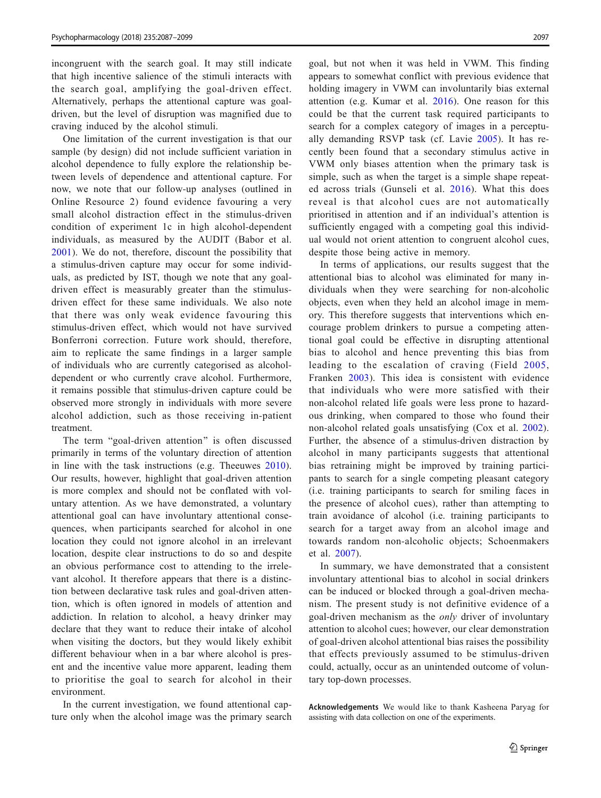incongruent with the search goal. It may still indicate that high incentive salience of the stimuli interacts with the search goal, amplifying the goal-driven effect. Alternatively, perhaps the attentional capture was goaldriven, but the level of disruption was magnified due to craving induced by the alcohol stimuli.

One limitation of the current investigation is that our sample (by design) did not include sufficient variation in alcohol dependence to fully explore the relationship between levels of dependence and attentional capture. For now, we note that our follow-up analyses (outlined in Online Resource 2) found evidence favouring a very small alcohol distraction effect in the stimulus-driven condition of experiment 1c in high alcohol-dependent individuals, as measured by the AUDIT (Babor et al. [2001](#page-11-0)). We do not, therefore, discount the possibility that a stimulus-driven capture may occur for some individuals, as predicted by IST, though we note that any goaldriven effect is measurably greater than the stimulusdriven effect for these same individuals. We also note that there was only weak evidence favouring this stimulus-driven effect, which would not have survived Bonferroni correction. Future work should, therefore, aim to replicate the same findings in a larger sample of individuals who are currently categorised as alcoholdependent or who currently crave alcohol. Furthermore, it remains possible that stimulus-driven capture could be observed more strongly in individuals with more severe alcohol addiction, such as those receiving in-patient treatment.

The term "goal-driven attention" is often discussed primarily in terms of the voluntary direction of attention in line with the task instructions (e.g. Theeuwes [2010](#page-12-0)). Our results, however, highlight that goal-driven attention is more complex and should not be conflated with voluntary attention. As we have demonstrated, a voluntary attentional goal can have involuntary attentional consequences, when participants searched for alcohol in one location they could not ignore alcohol in an irrelevant location, despite clear instructions to do so and despite an obvious performance cost to attending to the irrelevant alcohol. It therefore appears that there is a distinction between declarative task rules and goal-driven attention, which is often ignored in models of attention and addiction. In relation to alcohol, a heavy drinker may declare that they want to reduce their intake of alcohol when visiting the doctors, but they would likely exhibit different behaviour when in a bar where alcohol is present and the incentive value more apparent, leading them to prioritise the goal to search for alcohol in their environment.

In the current investigation, we found attentional capture only when the alcohol image was the primary search goal, but not when it was held in VWM. This finding appears to somewhat conflict with previous evidence that holding imagery in VWM can involuntarily bias external attention (e.g. Kumar et al. [2016](#page-12-0)). One reason for this could be that the current task required participants to search for a complex category of images in a perceptually demanding RSVP task (cf. Lavie [2005](#page-12-0)). It has recently been found that a secondary stimulus active in VWM only biases attention when the primary task is simple, such as when the target is a simple shape repeated across trials (Gunseli et al. [2016\)](#page-12-0). What this does reveal is that alcohol cues are not automatically prioritised in attention and if an individual's attention is sufficiently engaged with a competing goal this individual would not orient attention to congruent alcohol cues, despite those being active in memory.

In terms of applications, our results suggest that the attentional bias to alcohol was eliminated for many individuals when they were searching for non-alcoholic objects, even when they held an alcohol image in memory. This therefore suggests that interventions which encourage problem drinkers to pursue a competing attentional goal could be effective in disrupting attentional bias to alcohol and hence preventing this bias from leading to the escalation of craving (Field [2005,](#page-11-0) Franken [2003](#page-12-0)). This idea is consistent with evidence that individuals who were more satisfied with their non-alcohol related life goals were less prone to hazardous drinking, when compared to those who found their non-alcohol related goals unsatisfying (Cox et al. [2002](#page-11-0)). Further, the absence of a stimulus-driven distraction by alcohol in many participants suggests that attentional bias retraining might be improved by training participants to search for a single competing pleasant category (i.e. training participants to search for smiling faces in the presence of alcohol cues), rather than attempting to train avoidance of alcohol (i.e. training participants to search for a target away from an alcohol image and towards random non-alcoholic objects; Schoenmakers et al. [2007\)](#page-12-0).

In summary, we have demonstrated that a consistent involuntary attentional bias to alcohol in social drinkers can be induced or blocked through a goal-driven mechanism. The present study is not definitive evidence of a goal-driven mechanism as the only driver of involuntary attention to alcohol cues; however, our clear demonstration of goal-driven alcohol attentional bias raises the possibility that effects previously assumed to be stimulus-driven could, actually, occur as an unintended outcome of voluntary top-down processes.

Acknowledgements We would like to thank Kasheena Paryag for assisting with data collection on one of the experiments.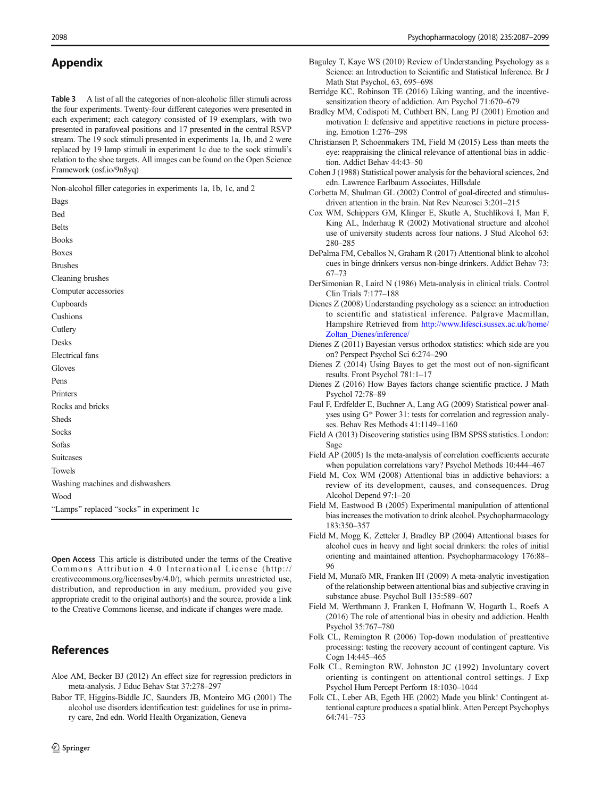## <span id="page-11-0"></span>Appendix

Table 3 A list of all the categories of non-alcoholic filler stimuli across the four experiments. Twenty-four different categories were presented in each experiment; each category consisted of 19 exemplars, with two presented in parafoveal positions and 17 presented in the central RSVP stream. The 19 sock stimuli presented in experiments 1a, 1b, and 2 were replaced by 19 lamp stimuli in experiment 1c due to the sock stimuli's relation to the shoe targets. All images can be found on the Open Science Framework (osf.io/9n8yq)

| Non-alcohol filler categories in experiments 1a, 1b, 1c, and 2 |
|----------------------------------------------------------------|
| <b>Bags</b>                                                    |
| Bed                                                            |
| <b>Belts</b>                                                   |
| <b>Books</b>                                                   |
| <b>Boxes</b>                                                   |
| <b>Brushes</b>                                                 |
| Cleaning brushes                                               |
| Computer accessories                                           |
| Cupboards                                                      |
| Cushions                                                       |
| Cutlery                                                        |
| <b>Desks</b>                                                   |
| <b>Electrical</b> fans                                         |
| Gloves                                                         |
| Pens                                                           |
| Printers                                                       |
| Rocks and bricks                                               |
| <b>Sheds</b>                                                   |
| Socks                                                          |
| Sofas                                                          |
| <b>Suitcases</b>                                               |
| Towels                                                         |
| Washing machines and dishwashers                               |
| Wood                                                           |
| "Lamps" replaced "socks" in experiment 1c                      |

Open Access This article is distributed under the terms of the Creative Commons Attribution 4.0 International License (http:// creativecommons.org/licenses/by/4.0/), which permits unrestricted use, distribution, and reproduction in any medium, provided you give appropriate credit to the original author(s) and the source, provide a link to the Creative Commons license, and indicate if changes were made.

## References

- Aloe AM, Becker BJ (2012) An effect size for regression predictors in meta-analysis. J Educ Behav Stat 37:278–297
- Babor TF, Higgins-Biddle JC, Saunders JB, Monteiro MG (2001) The alcohol use disorders identification test: guidelines for use in primary care, 2nd edn. World Health Organization, Geneva
- Baguley T, Kaye WS (2010) Review of Understanding Psychology as a Science: an Introduction to Scientific and Statistical Inference. Br J Math Stat Psychol, 63, 695–698
- Berridge KC, Robinson TE (2016) Liking wanting, and the incentivesensitization theory of addiction. Am Psychol 71:670–679
- Bradley MM, Codispoti M, Cuthbert BN, Lang PJ (2001) Emotion and motivation I: defensive and appetitive reactions in picture processing. Emotion 1:276–298
- Christiansen P, Schoenmakers TM, Field M (2015) Less than meets the eye: reappraising the clinical relevance of attentional bias in addiction. Addict Behav 44:43–50
- Cohen J (1988) Statistical power analysis for the behavioral sciences, 2nd edn. Lawrence Earlbaum Associates, Hillsdale
- Corbetta M, Shulman GL (2002) Control of goal-directed and stimulusdriven attention in the brain. Nat Rev Neurosci 3:201–215
- Cox WM, Schippers GM, Klinger E, Skutle A, Stuchlíková I, Man F, King AL, Inderhaug R (2002) Motivational structure and alcohol use of university students across four nations. J Stud Alcohol 63: 280–285
- DePalma FM, Ceballos N, Graham R (2017) Attentional blink to alcohol cues in binge drinkers versus non-binge drinkers. Addict Behav 73: 67–73
- DerSimonian R, Laird N (1986) Meta-analysis in clinical trials. Control Clin Trials 7:177–188
- Dienes Z (2008) Understanding psychology as a science: an introduction to scientific and statistical inference. Palgrave Macmillan, Hampshire Retrieved from [http://www.lifesci.sussex.ac.uk/home/](http://www.lifesci.sussex.ac.uk/home/Zoltan_Dienes/inference/) [Zoltan\\_Dienes/inference/](http://www.lifesci.sussex.ac.uk/home/Zoltan_Dienes/inference/)
- Dienes Z (2011) Bayesian versus orthodox statistics: which side are you on? Perspect Psychol Sci 6:274–290
- Dienes Z (2014) Using Bayes to get the most out of non-significant results. Front Psychol 781:1–17
- Dienes Z (2016) How Bayes factors change scientific practice. J Math Psychol 72:78–89
- Faul F, Erdfelder E, Buchner A, Lang AG (2009) Statistical power analyses using G\* Power 31: tests for correlation and regression analyses. Behav Res Methods 41:1149–1160
- Field A (2013) Discovering statistics using IBM SPSS statistics. London: Sage
- Field AP (2005) Is the meta-analysis of correlation coefficients accurate when population correlations vary? Psychol Methods 10:444–467
- Field M, Cox WM (2008) Attentional bias in addictive behaviors: a review of its development, causes, and consequences. Drug Alcohol Depend 97:1–20
- Field M, Eastwood B (2005) Experimental manipulation of attentional bias increases the motivation to drink alcohol. Psychopharmacology 183:350–357
- Field M, Mogg K, Zetteler J, Bradley BP (2004) Attentional biases for alcohol cues in heavy and light social drinkers: the roles of initial orienting and maintained attention. Psychopharmacology 176:88– 96
- Field M, Munafò MR, Franken IH (2009) A meta-analytic investigation of the relationship between attentional bias and subjective craving in substance abuse. Psychol Bull 135:589–607
- Field M, Werthmann J, Franken I, Hofmann W, Hogarth L, Roefs A (2016) The role of attentional bias in obesity and addiction. Health Psychol 35:767–780
- Folk CL, Remington R (2006) Top-down modulation of preattentive processing: testing the recovery account of contingent capture. Vis Cogn 14:445–465
- Folk CL, Remington RW, Johnston JC (1992) Involuntary covert orienting is contingent on attentional control settings. J Exp Psychol Hum Percept Perform 18:1030–1044
- Folk CL, Leber AB, Egeth HE (2002) Made you blink! Contingent attentional capture produces a spatial blink. Atten Percept Psychophys 64:741–753